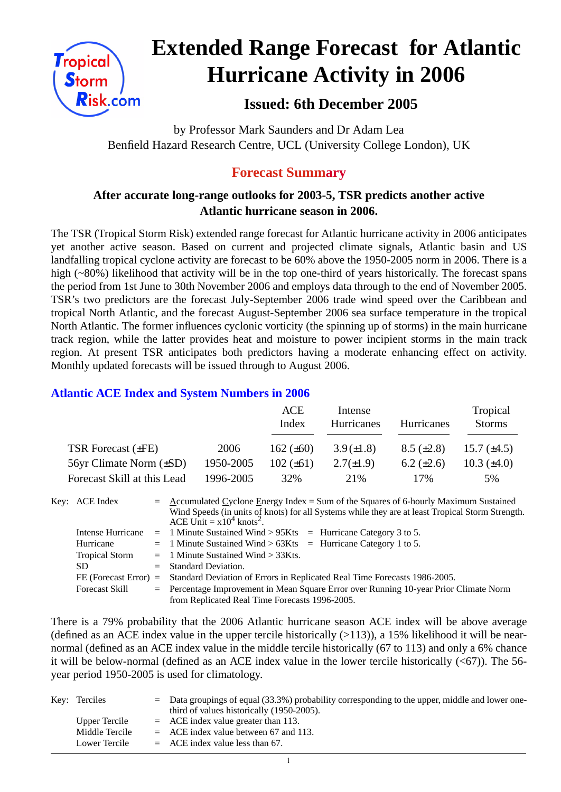

# **Extended Range Forecast for Atlantic Hurricane Activity in 2006**

 **Issued: 6th December 2005**

by Professor Mark Saunders and Dr Adam Lea Benfield Hazard Research Centre, UCL (University College London), UK

# **Forecast Summary**

## **After accurate long-range outlooks for 2003-5, TSR predicts another active Atlantic hurricane season in 2006.**

The TSR (Tropical Storm Risk) extended range forecast for Atlantic hurricane activity in 2006 anticipates yet another active season. Based on current and projected climate signals, Atlantic basin and US landfalling tropical cyclone activity are forecast to be 60% above the 1950-2005 norm in 2006. There is a high (~80%) likelihood that activity will be in the top one-third of years historically. The forecast spans the period from 1st June to 30th November 2006 and employs data through to the end of November 2005. TSR's two predictors are the forecast July-September 2006 trade wind speed over the Caribbean and tropical North Atlantic, and the forecast August-September 2006 sea surface temperature in the tropical North Atlantic. The former influences cyclonic vorticity (the spinning up of storms) in the main hurricane track region, while the latter provides heat and moisture to power incipient storms in the main track region. At present TSR anticipates both predictors having a moderate enhancing effect on activity. Monthly updated forecasts will be issued through to August 2006.

#### **Atlantic ACE Index and System Numbers in 2006**

|                              |           | ACE<br>Index   | Intense<br>Hurricanes | Hurricanes        | Tropical<br><b>Storms</b> |
|------------------------------|-----------|----------------|-----------------------|-------------------|---------------------------|
| TSR Forecast $(\pm FE)$      | 2006      | 162 $(\pm 60)$ | $3.9(\pm1.8)$         | $8.5 \ (\pm 2.8)$ | 15.7 $(\pm 4.5)$          |
| 56yr Climate Norm $(\pm SD)$ | 1950-2005 | $102 (\pm 61)$ | $2.7(\pm 1.9)$        | 6.2 $(\pm 2.6)$   | 10.3 $(\pm 4.0)$          |
| Forecast Skill at this Lead  | 1996-2005 | 32%            | 21\%                  | 17%               | 5%                        |

| Key: ACE Index        | $=$ Accumulated Cyclone Energy Index = Sum of the Squares of 6-hourly Maximum Sustained<br>Wind Speeds (in units of knots) for all Systems while they are at least Tropical Storm Strength.<br>ACE Unit = $x10^4$ knots <sup>2</sup> . |
|-----------------------|----------------------------------------------------------------------------------------------------------------------------------------------------------------------------------------------------------------------------------------|
|                       | Intense Hurricane $= 1$ Minute Sustained Wind > 95Kts $=$ Hurricane Category 3 to 5.                                                                                                                                                   |
| Hurricane             | $=$ 1 Minute Sustained Wind > 63Kts $=$ Hurricane Category 1 to 5.                                                                                                                                                                     |
| <b>Tropical Storm</b> | $=$ 1 Minute Sustained Wind $>$ 33Kts.                                                                                                                                                                                                 |
| SD.                   | $=$ Standard Deviation.                                                                                                                                                                                                                |
|                       | FE (Forecast Error) = Standard Deviation of Errors in Replicated Real Time Forecasts 1986-2005.                                                                                                                                        |
| <b>Forecast Skill</b> | = Percentage Improvement in Mean Square Error over Running 10-year Prior Climate Norm                                                                                                                                                  |
|                       | from Replicated Real Time Forecasts 1996-2005.                                                                                                                                                                                         |

There is a 79% probability that the 2006 Atlantic hurricane season ACE index will be above average (defined as an ACE index value in the upper tercile historically  $(>113)$ ), a 15% likelihood it will be nearnormal (defined as an ACE index value in the middle tercile historically (67 to 113) and only a 6% chance it will be below-normal (defined as an ACE index value in the lower tercile historically  $( $67$ )$ ). The 56year period 1950-2005 is used for climatology.

| Key: Terciles  | $=$ Data groupings of equal (33.3%) probability corresponding to the upper, middle and lower one- |
|----------------|---------------------------------------------------------------------------------------------------|
|                | third of values historically (1950-2005).                                                         |
| Upper Tercile  | $=$ ACE index value greater than 113.                                                             |
| Middle Tercile | $=$ ACE index value between 67 and 113.                                                           |
| Lower Tercile  | $=$ ACE index value less than 67.                                                                 |

 $\overline{1}$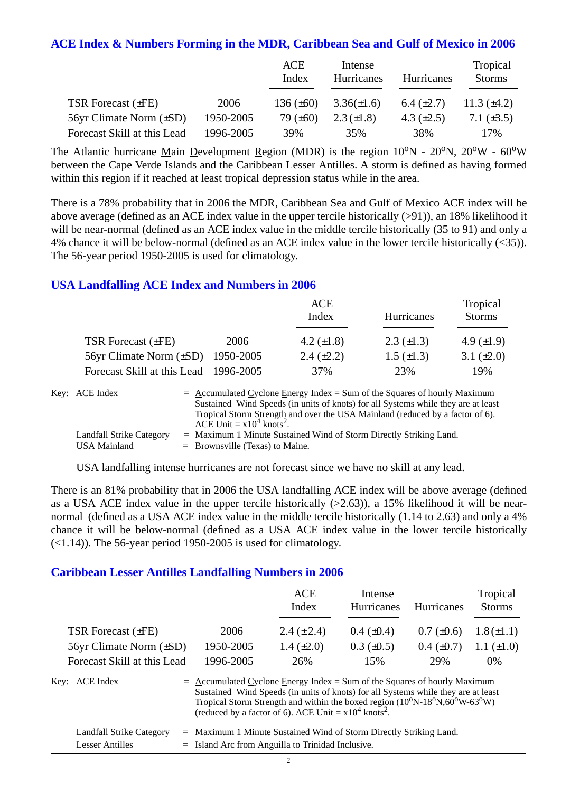#### **ACE Index & Numbers Forming in the MDR, Caribbean Sea and Gulf of Mexico in 2006**

|                              |           | ACE<br>Index   | Intense<br>Hurricanes | Hurricanes      | Tropical<br><b>Storms</b> |
|------------------------------|-----------|----------------|-----------------------|-----------------|---------------------------|
| TSR Forecast $(\pm FE)$      | 2006      | 136 $(\pm 60)$ | $3.36(\pm 1.6)$       | 6.4 $(\pm 2.7)$ | 11.3 $(\pm 4.2)$          |
| 56yr Climate Norm $(\pm SD)$ | 1950-2005 | 79 $(\pm 60)$  | $2.3(\pm 1.8)$        | 4.3 $(\pm 2.5)$ | 7.1 $(\pm 3.5)$           |
| Forecast Skill at this Lead  | 1996-2005 | 39%            | 35%                   | 38%             | 17%                       |

The Atlantic hurricane Main Development Region (MDR) is the region  $10^{\circ}N - 20^{\circ}N$ ,  $20^{\circ}W - 60^{\circ}W$ between the Cape Verde Islands and the Caribbean Lesser Antilles. A storm is defined as having formed within this region if it reached at least tropical depression status while in the area.

There is a 78% probability that in 2006 the MDR, Caribbean Sea and Gulf of Mexico ACE index will be above average (defined as an ACE index value in the upper tercile historically (>91)), an 18% likelihood it will be near-normal (defined as an ACE index value in the middle tercile historically (35 to 91) and only a 4% chance it will be below-normal (defined as an ACE index value in the lower tercile historically (<35)). The 56-year period 1950-2005 is used for climatology.

#### **USA Landfalling ACE Index and Numbers in 2006**

|                                        |      | ACE<br>Index      | Hurricanes        | Tropical<br><b>Storms</b> |
|----------------------------------------|------|-------------------|-------------------|---------------------------|
| TSR Forecast $(\pm FE)$                | 2006 | 4.2 $(\pm 1.8)$   | $2.3 \ (\pm 1.3)$ | 4.9 $(\pm 1.9)$           |
| 56yr Climate Norm $(\pm SD)$ 1950-2005 |      | $2.4 \ (\pm 2.2)$ | $1.5 \ (\pm 1.3)$ | 3.1 $(\pm 2.0)$           |
| Forecast Skill at this Lead 1996-2005  |      | 37%               | 23%               | 19%                       |

| Key: ACE Index           | $=$ Accumulated Cyclone Energy Index $=$ Sum of the Squares of hourly Maximum     |
|--------------------------|-----------------------------------------------------------------------------------|
|                          | Sustained Wind Speeds (in units of knots) for all Systems while they are at least |
|                          | Tropical Storm Strength and over the USA Mainland (reduced by a factor of 6).     |
|                          | ACE Unit $= x10^4$ knots <sup>2</sup> .                                           |
| Landfall Strike Category | $=$ Maximum 1 Minute Sustained Wind of Storm Directly Striking Land.              |
| USA Mainland             | $=$ Brownsville (Texas) to Maine.                                                 |

USA landfalling intense hurricanes are not forecast since we have no skill at any lead.

There is an 81% probability that in 2006 the USA landfalling ACE index will be above average (defined as a USA ACE index value in the upper tercile historically  $(>2.63)$ ), a 15% likelihood it will be nearnormal (defined as a USA ACE index value in the middle tercile historically (1.14 to 2.63) and only a 4% chance it will be below-normal (defined as a USA ACE index value in the lower tercile historically  $(\le 1.14)$ ). The 56-year period 1950-2005 is used for climatology.

#### **Caribbean Lesser Antilles Landfalling Numbers in 2006**

|                              |                                                                             | <b>ACE</b><br>Index                                                                                                                                                                                                                          | Intense<br>Hurricanes | <b>Hurricanes</b> | Tropical<br><b>Storms</b> |
|------------------------------|-----------------------------------------------------------------------------|----------------------------------------------------------------------------------------------------------------------------------------------------------------------------------------------------------------------------------------------|-----------------------|-------------------|---------------------------|
| TSR Forecast $(\pm FE)$      | 2006                                                                        | 2.4 $(\pm 2.4)$                                                                                                                                                                                                                              | $0.4~(\pm 0.4)$       | $0.7 (\pm 0.6)$   | $1.8(\pm 1.1)$            |
| 56yr Climate Norm $(\pm SD)$ | 1950-2005                                                                   | 1.4 $(\pm 2.0)$                                                                                                                                                                                                                              | $0.3 \ (\pm 0.5)$     | $0.4~(\pm 0.7)$   | 1.1 $(\pm 1.0)$           |
| Forecast Skill at this Lead  | 1996-2005                                                                   | 26%                                                                                                                                                                                                                                          | 15%                   | 29%               | $0\%$                     |
| Key: ACE Index               | $=$ Accumulated Cyclone Energy Index = Sum of the Squares of hourly Maximum | Sustained Wind Speeds (in units of knots) for all Systems while they are at least<br>Tropical Storm Strength and within the boxed region $(10^0N-18^0N, 60^0W-63^0W)$<br>(reduced by a factor of 6). ACE Unit = $x10^4$ knots <sup>2</sup> . |                       |                   |                           |

| <b>Landfall Strike Category</b> | = Maximum 1 Minute Sustained Wind of Storm Directly Striking Land. |
|---------------------------------|--------------------------------------------------------------------|
| Lesser Antilles                 | $=$ Island Arc from Anguilla to Trinidad Inclusive.                |